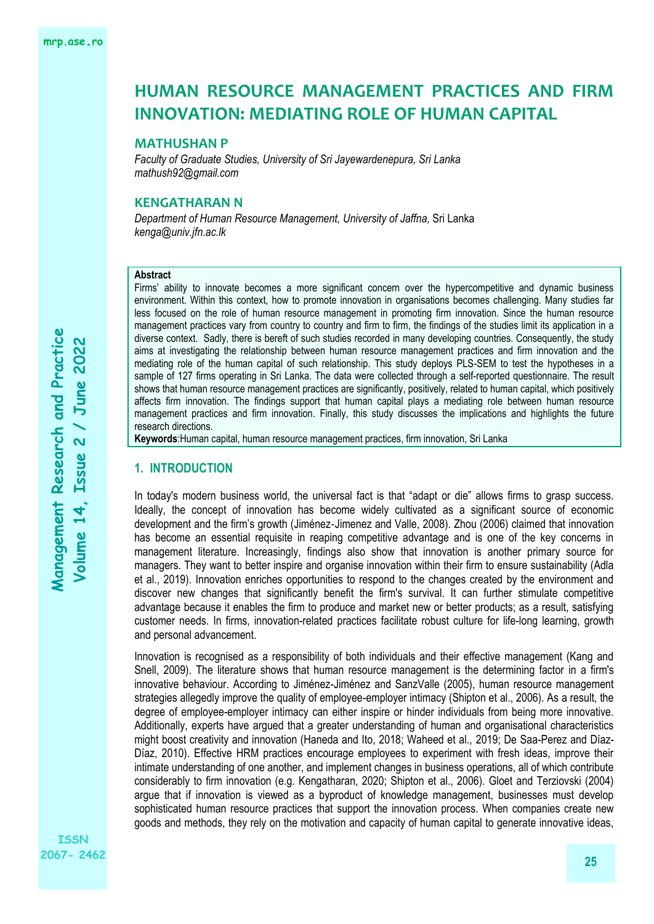## **MATHUSHAN P**

*Faculty of Graduate Studies, University of Sri Jayewardenepura, Sri Lanka mathush92@gmail.com*

## **KENGATHARAN N**

*Department of Human Resource Management, University of Jaffna,* Sri Lanka *kenga@univ.jfn.ac.lk*

## **Abstract**

Firms' ability to innovate becomes a more significant concern over the hypercompetitive and dynamic business environment. Within this context, how to promote innovation in organisations becomes challenging. Many studies far less focused on the role of human resource management in promoting firm innovation. Since the human resource management practices vary from country to country and firm to firm, the findings of the studies limit its application in a diverse context. Sadly, there is bereft of such studies recorded in many developing countries. Consequently, the study aims at investigating the relationship between human resource management practices and firm innovation and the mediating role of the human capital of such relationship. This study deploys PLS-SEM to test the hypotheses in a sample of 127 firms operating in Sri Lanka. The data were collected through a self-reported questionnaire. The result shows that human resource management practices are significantly, positively, related to human capital, which positively affects firm innovation. The findings support that human capital plays a mediating role between human resource management practices and firm innovation. Finally, this study discusses the implications and highlights the future research directions.

**Keywords**:Human capital, human resource management practices, firm innovation, Sri Lanka

## **1. INTRODUCTION**

In today's modern business world, the universal fact is that "adapt or die" allows firms to grasp success. Ideally, the concept of innovation has become widely cultivated as a significant source of economic development and the firm's growth (Jiménez‐Jimenez and Valle, 2008). Zhou (2006) claimed that innovation has become an essential requisite in reaping competitive advantage and is one of the key concerns in management literature. Increasingly, findings also show that innovation is another primary source for managers. They want to better inspire and organise innovation within their firm to ensure sustainability (Adla et al., 2019). Innovation enriches opportunities to respond to the changes created by the environment and discover new changes that significantly benefit the firm's survival. It can further stimulate competitive advantage because it enables the firm to produce and market new or better products; as a result, satisfying customer needs. In firms, innovation-related practices facilitate robust culture for life-long learning, growth and personal advancement.

Innovation is recognised as a responsibility of both individuals and their effective management (Kang and Snell, 2009). The literature shows that human resource management is the determining factor in a firm's innovative behaviour. According to Jiménez-Jiménez and SanzValle (2005), human resource management strategies allegedly improve the quality of employee-employer intimacy (Shipton et al., 2006). As a result, the degree of employee-employer intimacy can either inspire or hinder individuals from being more innovative. Additionally, experts have argued that a greater understanding of human and organisational characteristics might boost creativity and innovation (Haneda and Ito, 2018; Waheed et al., 2019; De Saa-Perez and Díaz-Díaz, 2010). Effective HRM practices encourage employees to experiment with fresh ideas, improve their intimate understanding of one another, and implement changes in business operations, all of which contribute considerably to firm innovation (e.g. Kengatharan, 2020; Shipton et al., 2006). Gloet and Terziovski (2004) argue that if innovation is viewed as a byproduct of knowledge management, businesses must develop sophisticated human resource practices that support the innovation process. When companies create new goods and methods, they rely on the motivation and capacity of human capital to generate innovative ideas,

**ISSN 2067- 2462**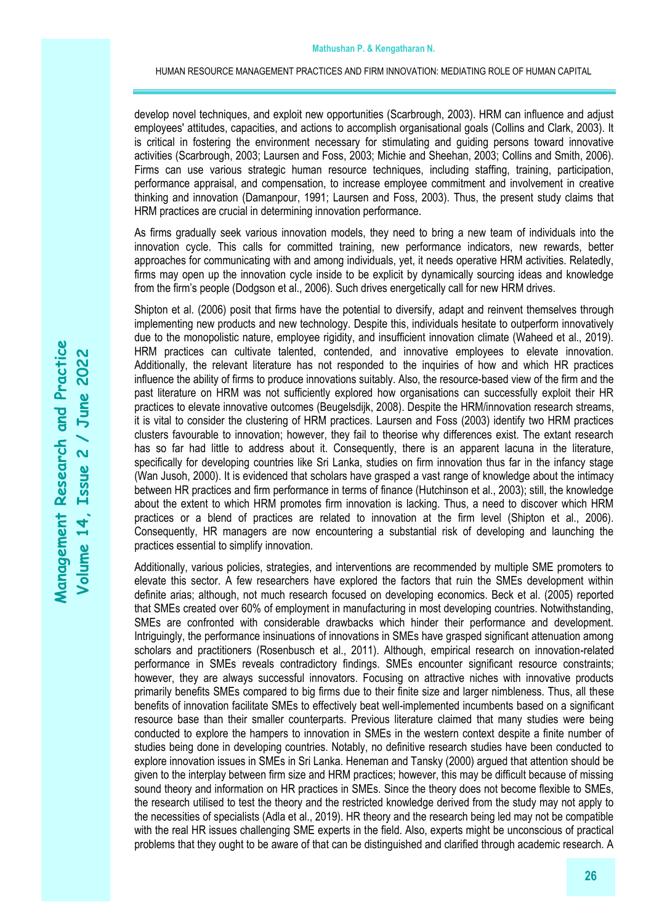develop novel techniques, and exploit new opportunities (Scarbrough, 2003). HRM can influence and adjust employees' attitudes, capacities, and actions to accomplish organisational goals (Collins and Clark, 2003). It is critical in fostering the environment necessary for stimulating and guiding persons toward innovative activities (Scarbrough, 2003; Laursen and Foss, 2003; Michie and Sheehan, 2003; Collins and Smith, 2006). Firms can use various strategic human resource techniques, including staffing, training, participation, performance appraisal, and compensation, to increase employee commitment and involvement in creative thinking and innovation (Damanpour, 1991; Laursen and Foss, 2003). Thus, the present study claims that HRM practices are crucial in determining innovation performance.

As firms gradually seek various innovation models, they need to bring a new team of individuals into the innovation cycle. This calls for committed training, new performance indicators, new rewards, better approaches for communicating with and among individuals, yet, it needs operative HRM activities. Relatedly, firms may open up the innovation cycle inside to be explicit by dynamically sourcing ideas and knowledge from the firm's people (Dodgson et al., 2006). Such drives energetically call for new HRM drives.

Shipton et al. (2006) posit that firms have the potential to diversify, adapt and reinvent themselves through implementing new products and new technology. Despite this, individuals hesitate to outperform innovatively due to the monopolistic nature, employee rigidity, and insufficient innovation climate (Waheed et al., 2019). HRM practices can cultivate talented, contended, and innovative employees to elevate innovation. Additionally, the relevant literature has not responded to the inquiries of how and which HR practices influence the ability of firms to produce innovations suitably. Also, the resource-based view of the firm and the past literature on HRM was not sufficiently explored how organisations can successfully exploit their HR practices to elevate innovative outcomes (Beugelsdijk, 2008). Despite the HRM/innovation research streams, it is vital to consider the clustering of HRM practices. Laursen and Foss (2003) identify two HRM practices clusters favourable to innovation; however, they fail to theorise why differences exist. The extant research has so far had little to address about it. Consequently, there is an apparent lacuna in the literature, specifically for developing countries like Sri Lanka, studies on firm innovation thus far in the infancy stage (Wan Jusoh, 2000). It is evidenced that scholars have grasped a vast range of knowledge about the intimacy between HR practices and firm performance in terms of finance (Hutchinson et al., 2003); still, the knowledge about the extent to which HRM promotes firm innovation is lacking. Thus, a need to discover which HRM practices or a blend of practices are related to innovation at the firm level (Shipton et al., 2006). Consequently, HR managers are now encountering a substantial risk of developing and launching the practices essential to simplify innovation.

Additionally, various policies, strategies, and interventions are recommended by multiple SME promoters to elevate this sector. A few researchers have explored the factors that ruin the SMEs development within definite arias; although, not much research focused on developing economics. Beck et al. (2005) reported that SMEs created over 60% of employment in manufacturing in most developing countries. Notwithstanding, SMEs are confronted with considerable drawbacks which hinder their performance and development. Intriguingly, the performance insinuations of innovations in SMEs have grasped significant attenuation among scholars and practitioners (Rosenbusch et al., 2011). Although, empirical research on innovation-related performance in SMEs reveals contradictory findings. SMEs encounter significant resource constraints; however, they are always successful innovators. Focusing on attractive niches with innovative products primarily benefits SMEs compared to big firms due to their finite size and larger nimbleness. Thus, all these benefits of innovation facilitate SMEs to effectively beat well-implemented incumbents based on a significant resource base than their smaller counterparts. Previous literature claimed that many studies were being conducted to explore the hampers to innovation in SMEs in the western context despite a finite number of studies being done in developing countries. Notably, no definitive research studies have been conducted to explore innovation issues in SMEs in Sri Lanka. Heneman and Tansky (2000) argued that attention should be given to the interplay between firm size and HRM practices; however, this may be difficult because of missing sound theory and information on HR practices in SMEs. Since the theory does not become flexible to SMEs, the research utilised to test the theory and the restricted knowledge derived from the study may not apply to the necessities of specialists (Adla et al., 2019). HR theory and the research being led may not be compatible with the real HR issues challenging SME experts in the field. Also, experts might be unconscious of practical problems that they ought to be aware of that can be distinguished and clarified through academic research. A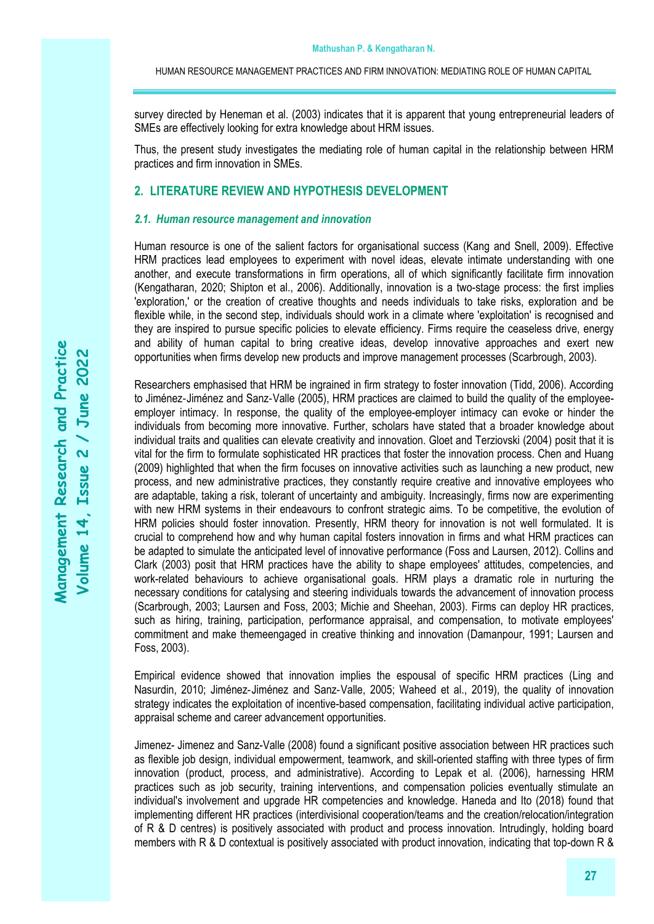survey directed by Heneman et al. (2003) indicates that it is apparent that young entrepreneurial leaders of SMEs are effectively looking for extra knowledge about HRM issues.

Thus, the present study investigates the mediating role of human capital in the relationship between HRM practices and firm innovation in SMEs.

# **2. LITERATURE REVIEW AND HYPOTHESIS DEVELOPMENT**

#### *2.1. Human resource management and innovation*

Human resource is one of the salient factors for organisational success (Kang and Snell, 2009). Effective HRM practices lead employees to experiment with novel ideas, elevate intimate understanding with one another, and execute transformations in firm operations, all of which significantly facilitate firm innovation (Kengatharan, 2020; Shipton et al., 2006). Additionally, innovation is a two-stage process: the first implies 'exploration,' or the creation of creative thoughts and needs individuals to take risks, exploration and be flexible while, in the second step, individuals should work in a climate where 'exploitation' is recognised and they are inspired to pursue specific policies to elevate efficiency. Firms require the ceaseless drive, energy and ability of human capital to bring creative ideas, develop innovative approaches and exert new opportunities when firms develop new products and improve management processes (Scarbrough, 2003).

Researchers emphasised that HRM be ingrained in firm strategy to foster innovation (Tidd, 2006). According to Jiménez‐Jiménez and Sanz‐Valle (2005), HRM practices are claimed to build the quality of the employeeemployer intimacy. In response, the quality of the employee-employer intimacy can evoke or hinder the individuals from becoming more innovative. Further, scholars have stated that a broader knowledge about individual traits and qualities can elevate creativity and innovation. Gloet and Terziovski (2004) posit that it is vital for the firm to formulate sophisticated HR practices that foster the innovation process. Chen and Huang (2009) highlighted that when the firm focuses on innovative activities such as launching a new product, new process, and new administrative practices, they constantly require creative and innovative employees who are adaptable, taking a risk, tolerant of uncertainty and ambiguity. Increasingly, firms now are experimenting with new HRM systems in their endeavours to confront strategic aims. To be competitive, the evolution of HRM policies should foster innovation. Presently, HRM theory for innovation is not well formulated. It is crucial to comprehend how and why human capital fosters innovation in firms and what HRM practices can be adapted to simulate the anticipated level of innovative performance (Foss and Laursen, 2012). Collins and Clark (2003) posit that HRM practices have the ability to shape employees' attitudes, competencies, and work-related behaviours to achieve organisational goals. HRM plays a dramatic role in nurturing the necessary conditions for catalysing and steering individuals towards the advancement of innovation process (Scarbrough, 2003; Laursen and Foss, 2003; Michie and Sheehan, 2003). Firms can deploy HR practices, such as hiring, training, participation, performance appraisal, and compensation, to motivate employees' commitment and make themeengaged in creative thinking and innovation (Damanpour, 1991; Laursen and Foss, 2003).

Empirical evidence showed that innovation implies the espousal of specific HRM practices (Ling and Nasurdin, 2010; Jiménez‐Jiménez and Sanz‐Valle, 2005; Waheed et al., 2019), the quality of innovation strategy indicates the exploitation of incentive-based compensation, facilitating individual active participation, appraisal scheme and career advancement opportunities.

Jimenez- Jimenez and Sanz-Valle (2008) found a significant positive association between HR practices such as flexible job design, individual empowerment, teamwork, and skill-oriented staffing with three types of firm innovation (product, process, and administrative). According to Lepak et al. (2006), harnessing HRM practices such as job security, training interventions, and compensation policies eventually stimulate an individual's involvement and upgrade HR competencies and knowledge. Haneda and Ito (2018) found that implementing different HR practices (interdivisional cooperation/teams and the creation/relocation/integration of R & D centres) is positively associated with product and process innovation. Intrudingly, holding board members with R & D contextual is positively associated with product innovation, indicating that top-down R &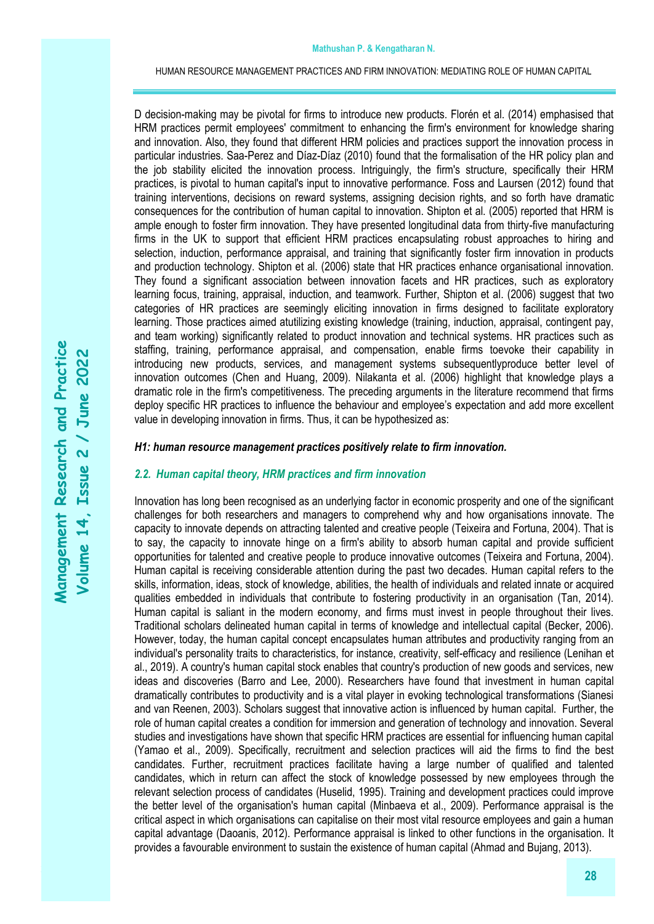D decision-making may be pivotal for firms to introduce new products. Florén et al. (2014) emphasised that HRM practices permit employees' commitment to enhancing the firm's environment for knowledge sharing and innovation. Also, they found that different HRM policies and practices support the innovation process in particular industries. Saa-Perez and Díaz-Díaz (2010) found that the formalisation of the HR policy plan and the job stability elicited the innovation process. Intriguingly, the firm's structure, specifically their HRM practices, is pivotal to human capital's input to innovative performance. Foss and Laursen (2012) found that training interventions, decisions on reward systems, assigning decision rights, and so forth have dramatic consequences for the contribution of human capital to innovation. Shipton et al. (2005) reported that HRM is ample enough to foster firm innovation. They have presented longitudinal data from thirty-five manufacturing firms in the UK to support that efficient HRM practices encapsulating robust approaches to hiring and selection, induction, performance appraisal, and training that significantly foster firm innovation in products and production technology. Shipton et al. (2006) state that HR practices enhance organisational innovation. They found a significant association between innovation facets and HR practices, such as exploratory learning focus, training, appraisal, induction, and teamwork. Further, Shipton et al. (2006) suggest that two categories of HR practices are seemingly eliciting innovation in firms designed to facilitate exploratory learning. Those practices aimed atutilizing existing knowledge (training, induction, appraisal, contingent pay, and team working) significantly related to product innovation and technical systems. HR practices such as staffing, training, performance appraisal, and compensation, enable firms toevoke their capability in introducing new products, services, and management systems subsequentlyproduce better level of innovation outcomes (Chen and Huang, 2009). Nilakanta et al. (2006) highlight that knowledge plays a dramatic role in the firm's competitiveness. The preceding arguments in the literature recommend that firms deploy specific HR practices to influence the behaviour and employee's expectation and add more excellent value in developing innovation in firms. Thus, it can be hypothesized as:

## *H1: human resource management practices positively relate to firm innovation.*

## *2.2. Human capital theory, HRM practices and firm innovation*

Innovation has long been recognised as an underlying factor in economic prosperity and one of the significant challenges for both researchers and managers to comprehend why and how organisations innovate. The capacity to innovate depends on attracting talented and creative people (Teixeira and Fortuna, 2004). That is to say, the capacity to innovate hinge on a firm's ability to absorb human capital and provide sufficient opportunities for talented and creative people to produce innovative outcomes (Teixeira and Fortuna, 2004). Human capital is receiving considerable attention during the past two decades. Human capital refers to the skills, information, ideas, stock of knowledge, abilities, the health of individuals and related innate or acquired qualities embedded in individuals that contribute to fostering productivity in an organisation (Tan, 2014). Human capital is saliant in the modern economy, and firms must invest in people throughout their lives. Traditional scholars delineated human capital in terms of knowledge and intellectual capital (Becker, 2006). However, today, the human capital concept encapsulates human attributes and productivity ranging from an individual's personality traits to characteristics, for instance, creativity, self-efficacy and resilience (Lenihan et al., 2019). A country's human capital stock enables that country's production of new goods and services, new ideas and discoveries (Barro and Lee, 2000). Researchers have found that investment in human capital dramatically contributes to productivity and is a vital player in evoking technological transformations (Sianesi and van Reenen, 2003). Scholars suggest that innovative action is influenced by human capital. Further, the role of human capital creates a condition for immersion and generation of technology and innovation. Several studies and investigations have shown that specific HRM practices are essential for influencing human capital (Yamao et al., 2009). Specifically, recruitment and selection practices will aid the firms to find the best candidates. Further, recruitment practices facilitate having a large number of qualified and talented candidates, which in return can affect the stock of knowledge possessed by new employees through the relevant selection process of candidates (Huselid, 1995). Training and development practices could improve the better level of the organisation's human capital (Minbaeva et al., 2009). Performance appraisal is the critical aspect in which organisations can capitalise on their most vital resource employees and gain a human capital advantage (Daoanis, 2012). Performance appraisal is linked to other functions in the organisation. It provides a favourable environment to sustain the existence of human capital (Ahmad and Bujang, 2013).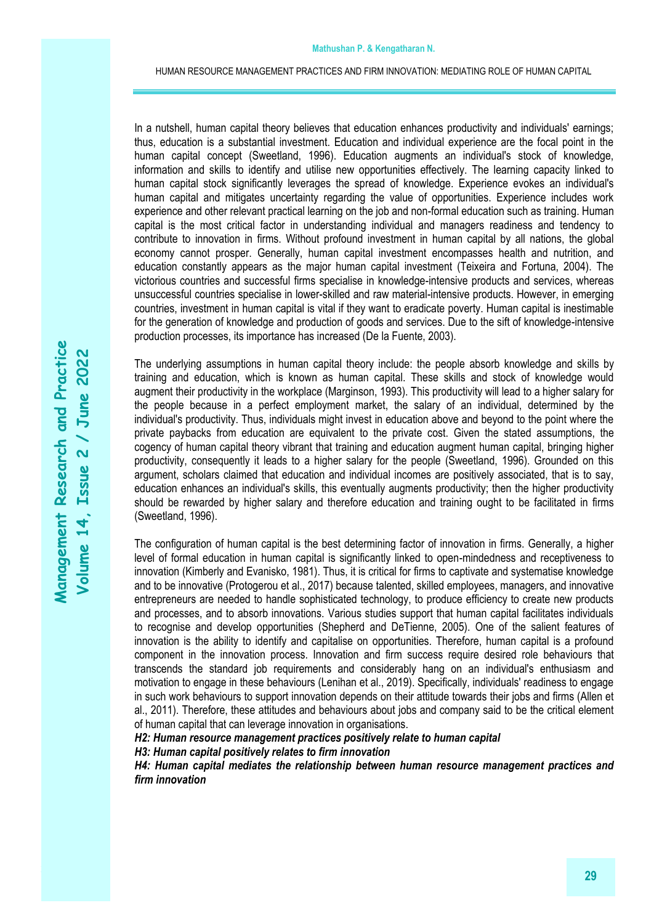In a nutshell, human capital theory believes that education enhances productivity and individuals' earnings; thus, education is a substantial investment. Education and individual experience are the focal point in the human capital concept (Sweetland, 1996). Education augments an individual's stock of knowledge, information and skills to identify and utilise new opportunities effectively. The learning capacity linked to human capital stock significantly leverages the spread of knowledge. Experience evokes an individual's human capital and mitigates uncertainty regarding the value of opportunities. Experience includes work experience and other relevant practical learning on the job and non-formal education such as training. Human capital is the most critical factor in understanding individual and managers readiness and tendency to contribute to innovation in firms. Without profound investment in human capital by all nations, the global economy cannot prosper. Generally, human capital investment encompasses health and nutrition, and education constantly appears as the major human capital investment (Teixeira and Fortuna, 2004). The victorious countries and successful firms specialise in knowledge-intensive products and services, whereas unsuccessful countries specialise in lower-skilled and raw material-intensive products. However, in emerging countries, investment in human capital is vital if they want to eradicate poverty. Human capital is inestimable for the generation of knowledge and production of goods and services. Due to the sift of knowledge-intensive production processes, its importance has increased (De la Fuente, 2003).

The underlying assumptions in human capital theory include: the people absorb knowledge and skills by training and education, which is known as human capital. These skills and stock of knowledge would augment their productivity in the workplace (Marginson, 1993). This productivity will lead to a higher salary for the people because in a perfect employment market, the salary of an individual, determined by the individual's productivity. Thus, individuals might invest in education above and beyond to the point where the private paybacks from education are equivalent to the private cost. Given the stated assumptions, the cogency of human capital theory vibrant that training and education augment human capital, bringing higher productivity, consequently it leads to a higher salary for the people (Sweetland, 1996). Grounded on this argument, scholars claimed that education and individual incomes are positively associated, that is to say, education enhances an individual's skills, this eventually augments productivity; then the higher productivity should be rewarded by higher salary and therefore education and training ought to be facilitated in firms (Sweetland, 1996).

The configuration of human capital is the best determining factor of innovation in firms. Generally, a higher level of formal education in human capital is significantly linked to open-mindedness and receptiveness to innovation (Kimberly and Evanisko, 1981). Thus, it is critical for firms to captivate and systematise knowledge and to be innovative (Protogerou et al., 2017) because talented, skilled employees, managers, and innovative entrepreneurs are needed to handle sophisticated technology, to produce efficiency to create new products and processes, and to absorb innovations. Various studies support that human capital facilitates individuals to recognise and develop opportunities (Shepherd and DeTienne, 2005). One of the salient features of innovation is the ability to identify and capitalise on opportunities. Therefore, human capital is a profound component in the innovation process. Innovation and firm success require desired role behaviours that transcends the standard job requirements and considerably hang on an individual's enthusiasm and motivation to engage in these behaviours (Lenihan et al., 2019). Specifically, individuals' readiness to engage in such work behaviours to support innovation depends on their attitude towards their jobs and firms (Allen et al., 2011). Therefore, these attitudes and behaviours about jobs and company said to be the critical element of human capital that can leverage innovation in organisations.

*H2: Human resource management practices positively relate to human capital*

*H3: Human capital positively relates to firm innovation*

H4: Human capital mediates the relationship between human resource management practices and *firm innovation*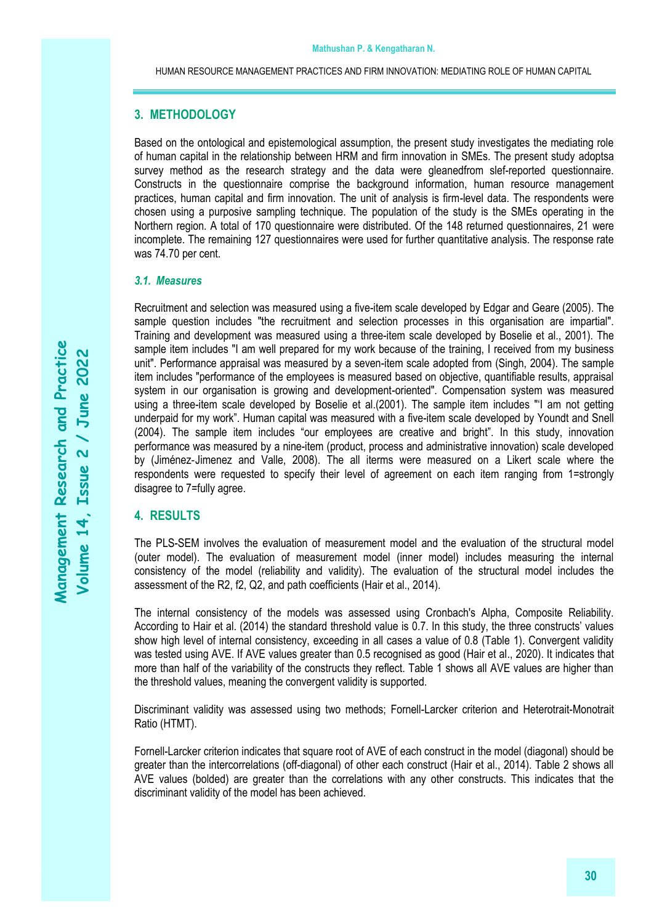# **3. METHODOLOGY**

Based on the ontological and epistemological assumption, the present study investigates the mediating role of human capital in the relationship between HRM and firm innovation in SMEs. The present study adoptsa survey method as the research strategy and the data were gleanedfrom slef-reported questionnaire. Constructs in the questionnaire comprise the background information, human resource management practices, human capital and firm innovation. The unit of analysis is firm-level data. The respondents were chosen using a purposive sampling technique. The population of the study is the SMEs operating in the Northern region. A total of 170 questionnaire were distributed. Of the 148 returned questionnaires, 21 were incomplete. The remaining 127 questionnaires were used for further quantitative analysis. The response rate was 74.70 per cent.

#### *3.1. Measures*

Recruitment and selection was measured using a five-item scale developed by Edgar and Geare (2005). The sample question includes "the recruitment and selection processes in this organisation are impartial". Training and development was measured using a three-item scale developed by Boselie et al., 2001). The sample item includes "I am well prepared for my work because of the training, I received from my business unit". Performance appraisal was measured by a seven-item scale adopted from (Singh, 2004). The sample item includes "performance of the employees is measured based on objective, quantifiable results, appraisal system in our organisation is growing and development-oriented". Compensation system was measured using a three-item scale developed by Boselie et al.(2001). The sample item includes "'I am not getting underpaid for my work". Human capital was measured with a five-item scale developed by Youndt and Snell (2004). The sample item includes "our employees are creative and bright". In this study, innovation performance was measured by a nine-item (product, process and administrative innovation) scale developed by (Jiménez‐Jimenez and Valle, 2008). The all iterms were measured on a Likert scale where the respondents were requested to specify their level of agreement on each item ranging from 1=strongly disagree to 7=fully agree.

# **4. RESULTS**

The PLS-SEM involves the evaluation of measurement model and the evaluation of the structural model (outer model). The evaluation of measurement model (inner model) includes measuring the internal consistency of the model (reliability and validity). The evaluation of the structural model includes the assessment of the R2, f2, Q2, and path coefficients (Hair et al., 2014).

The internal consistency of the models was assessed using Cronbach's Alpha, Composite Reliability. According to Hair et al. (2014) the standard threshold value is 0.7. In this study, the three constructs' values show high level of internal consistency, exceeding in all cases a value of 0.8 (Table 1). Convergent validity was tested using AVE. If AVE values greater than 0.5 recognised as good (Hair et al., 2020). It indicates that more than half of the variability of the constructs they reflect. Table 1 shows all AVE values are higher than the threshold values, meaning the convergent validity is supported.

Discriminant validity was assessed using two methods; Fornell-Larcker criterion and Heterotrait-Monotrait Ratio (HTMT).

Fornell-Larcker criterion indicates that square root of AVE of each construct in the model (diagonal) should be greater than the intercorrelations (off-diagonal) of other each construct (Hair et al., 2014). Table 2 shows all AVE values (bolded) are greater than the correlations with any other constructs. This indicates that the discriminant validity of the model has been achieved.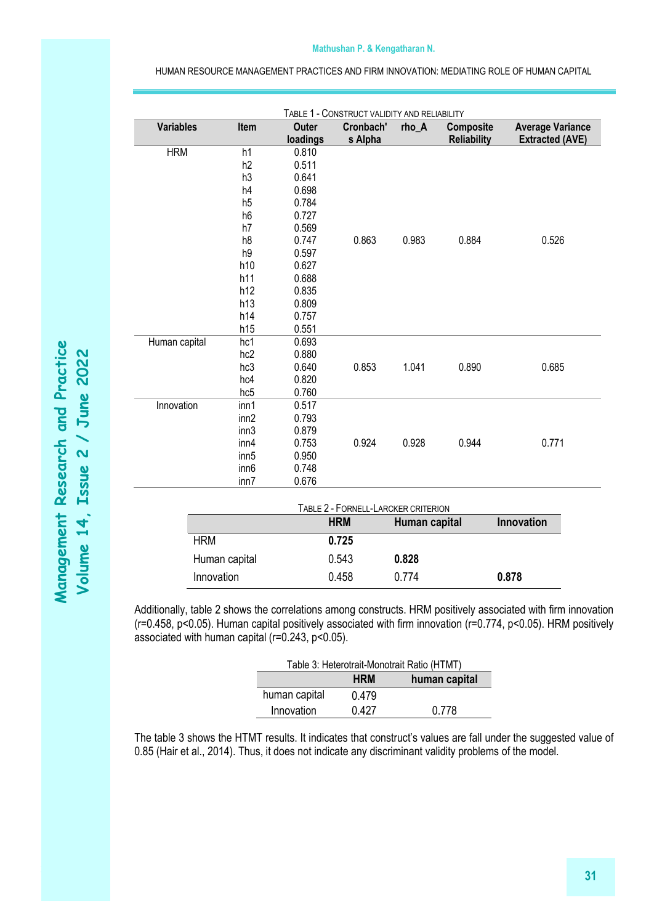#### **Mathushan P. & Kengatharan N.**

HUMAN RESOURCE MANAGEMENT PRACTICES AND FIRM INNOVATION: MEDIATING ROLE OF HUMAN CAPITAL

| <b>Variables</b><br>Item |                  | TABLE 1 - CONSTRUCT VALIDITY AND RELIABILITY<br><b>Outer</b><br>Cronbach' |                                     | <b>Composite</b><br>rho_A |                    | <b>Average Variance</b> |  |  |
|--------------------------|------------------|---------------------------------------------------------------------------|-------------------------------------|---------------------------|--------------------|-------------------------|--|--|
|                          |                  | loadings                                                                  | s Alpha                             |                           | <b>Reliability</b> | <b>Extracted (AVE)</b>  |  |  |
| <b>HRM</b>               | h1               | 0.810                                                                     |                                     |                           |                    |                         |  |  |
|                          | h2               | 0.511                                                                     |                                     |                           |                    |                         |  |  |
|                          | h3               | 0.641                                                                     |                                     |                           |                    |                         |  |  |
|                          | h4               | 0.698                                                                     |                                     |                           |                    |                         |  |  |
|                          | h5               | 0.784                                                                     |                                     |                           |                    |                         |  |  |
|                          | h <sub>6</sub>   | 0.727                                                                     |                                     |                           |                    |                         |  |  |
|                          | h7               | 0.569                                                                     |                                     |                           |                    |                         |  |  |
|                          | h <sub>8</sub>   | 0.747                                                                     | 0.863                               | 0.983                     | 0.884              | 0.526                   |  |  |
|                          | h9               | 0.597                                                                     |                                     |                           |                    |                         |  |  |
|                          | h10              | 0.627                                                                     |                                     |                           |                    |                         |  |  |
|                          | h11              | 0.688                                                                     |                                     |                           |                    |                         |  |  |
|                          | h12              | 0.835                                                                     |                                     |                           |                    |                         |  |  |
|                          | h13              | 0.809                                                                     |                                     |                           |                    |                         |  |  |
|                          | h14              | 0.757                                                                     |                                     |                           |                    |                         |  |  |
|                          | h15              | 0.551                                                                     |                                     |                           |                    |                         |  |  |
| Human capital            | hc1              | 0.693                                                                     |                                     |                           |                    |                         |  |  |
|                          | hc <sub>2</sub>  | 0.880                                                                     |                                     |                           |                    |                         |  |  |
|                          | hc3              | 0.640                                                                     | 0.853                               | 1.041                     | 0.890              | 0.685                   |  |  |
|                          | hc4              | 0.820                                                                     |                                     |                           |                    |                         |  |  |
|                          | hc <sub>5</sub>  | 0.760                                                                     |                                     |                           |                    |                         |  |  |
| Innovation               | inn1             | 0.517                                                                     |                                     |                           |                    |                         |  |  |
|                          | inn2             | 0.793                                                                     |                                     |                           |                    |                         |  |  |
|                          | inn3             | 0.879                                                                     |                                     |                           |                    |                         |  |  |
|                          | inn4             | 0.753                                                                     | 0.924                               | 0.928                     | 0.944              | 0.771                   |  |  |
|                          | inn <sub>5</sub> | 0.950                                                                     |                                     |                           |                    |                         |  |  |
|                          | inn <sub>6</sub> | 0.748                                                                     |                                     |                           |                    |                         |  |  |
|                          | inn7             | 0.676                                                                     |                                     |                           |                    |                         |  |  |
|                          |                  |                                                                           | TABLE 2 - FORNELL-LARCKER CRITERION |                           |                    |                         |  |  |
|                          |                  |                                                                           | <b>HRM</b>                          | Human capital             |                    | Innovation              |  |  |
| <b>HRM</b>               |                  |                                                                           | 0.725                               |                           |                    |                         |  |  |
| Human capital            |                  |                                                                           | 0.543                               | 0.828                     |                    |                         |  |  |

Additionally, table 2 shows the correlations among constructs. HRM positively associated with firm innovation (r=0.458, p<0.05). Human capital positively associated with firm innovation (r=0.774, p<0.05). HRM positively associated with human capital (r=0.243, p<0.05).

Innovation 0.458 0.774 **0.878**

| Table 3: Heterotrait-Monotrait Ratio (HTMT) |               |       |  |  |  |  |
|---------------------------------------------|---------------|-------|--|--|--|--|
|                                             | human capital |       |  |  |  |  |
| human capital                               | 0.479         |       |  |  |  |  |
| Innovation                                  | 0.427         | 0.778 |  |  |  |  |

The table 3 shows the HTMT results. It indicates that construct's values are fall under the suggested value of 0.85 (Hair et al., 2014). Thus, it does not indicate any discriminant validity problems of the model.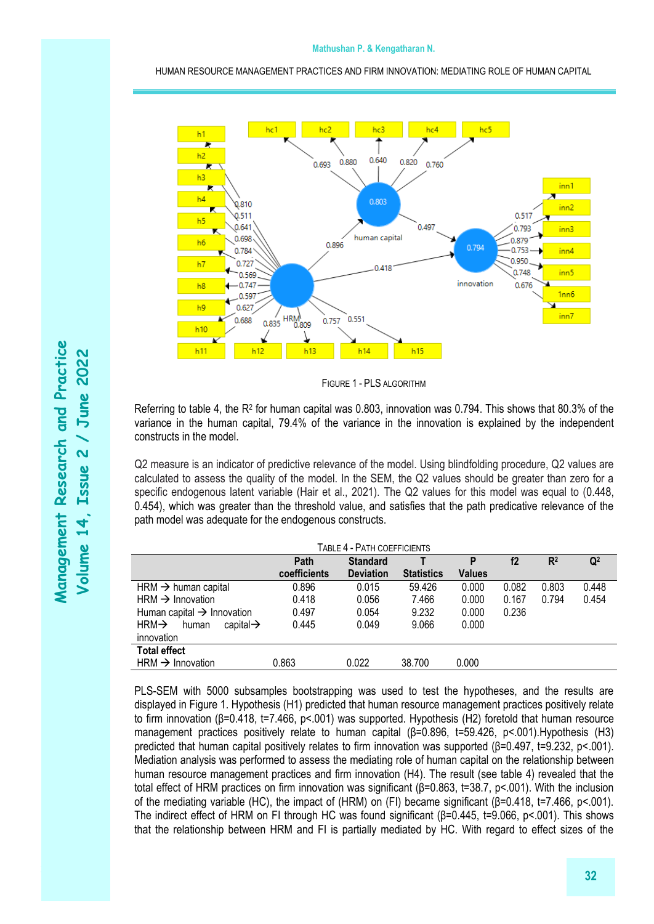

FIGURE 1 - PLS ALGORITHM

Referring to table 4, the R<sup>2</sup> for human capital was 0.803, innovation was 0.794. This shows that 80.3% of the variance in the human capital, 79.4% of the variance in the innovation is explained by the independent constructs in the model.

Q2 measure is an indicator of predictive relevance of the model. Using blindfolding procedure, Q2 values are calculated to assess the quality of the model. In the SEM, the Q2 values should be greater than zero for a specific endogenous latent variable (Hair et al., 2021). The Q2 values for this model was equal to (0.448, 0.454), which was greater than the threshold value, and satisfies that the path predicative relevance of the path model was adequate for the endogenous constructs.

| TABLE 4 - PATH COEFFICIENTS                         |              |                  |                   |               |       |                |                |  |  |  |
|-----------------------------------------------------|--------------|------------------|-------------------|---------------|-------|----------------|----------------|--|--|--|
|                                                     | Path         | <b>Standard</b>  |                   | P             | f2    | R <sup>2</sup> | $\mathbf{Q}^2$ |  |  |  |
|                                                     | coefficients | <b>Deviation</b> | <b>Statistics</b> | <b>Values</b> |       |                |                |  |  |  |
| $HRM \rightarrow human capital$                     | 0.896        | 0.015            | 59.426            | 0.000         | 0.082 | 0.803          | 0.448          |  |  |  |
| $HRM \rightarrow Innovation$                        | 0.418        | 0.056            | 7.466             | 0.000         | 0.167 | 0.794          | 0.454          |  |  |  |
| Human capital $\rightarrow$ Innovation              | 0.497        | 0.054            | 9.232             | 0.000         | 0.236 |                |                |  |  |  |
| $HRM \rightarrow$<br>capital $\rightarrow$<br>human | 0.445        | 0.049            | 9.066             | 0.000         |       |                |                |  |  |  |
| innovation                                          |              |                  |                   |               |       |                |                |  |  |  |
| <b>Total effect</b>                                 |              |                  |                   |               |       |                |                |  |  |  |
| $HRM \rightarrow Innovation$                        | 0.863        | 0.022            | 38.700            | 0.000         |       |                |                |  |  |  |

PLS-SEM with 5000 subsamples bootstrapping was used to test the hypotheses, and the results are displayed in Figure 1. Hypothesis (H1) predicted that human resource management practices positively relate to firm innovation (β=0.418, t=7.466, p<.001) was supported. Hypothesis (H2) foretold that human resource management practices positively relate to human capital (β=0.896, t=59.426, p<.001).Hypothesis (H3) predicted that human capital positively relates to firm innovation was supported (β=0.497, t=9.232, p<.001). Mediation analysis was performed to assess the mediating role of human capital on the relationship between human resource management practices and firm innovation (H4). The result (see table 4) revealed that the total effect of HRM practices on firm innovation was significant (β=0.863, t=38.7, p<.001). With the inclusion of the mediating variable (HC), the impact of (HRM) on (FI) became significant (β=0.418, t=7.466, p<.001). The indirect effect of HRM on FI through HC was found significant (β=0.445, t=9.066, p<.001). This shows that the relationship between HRM and FI is partially mediated by HC. With regard to effect sizes of the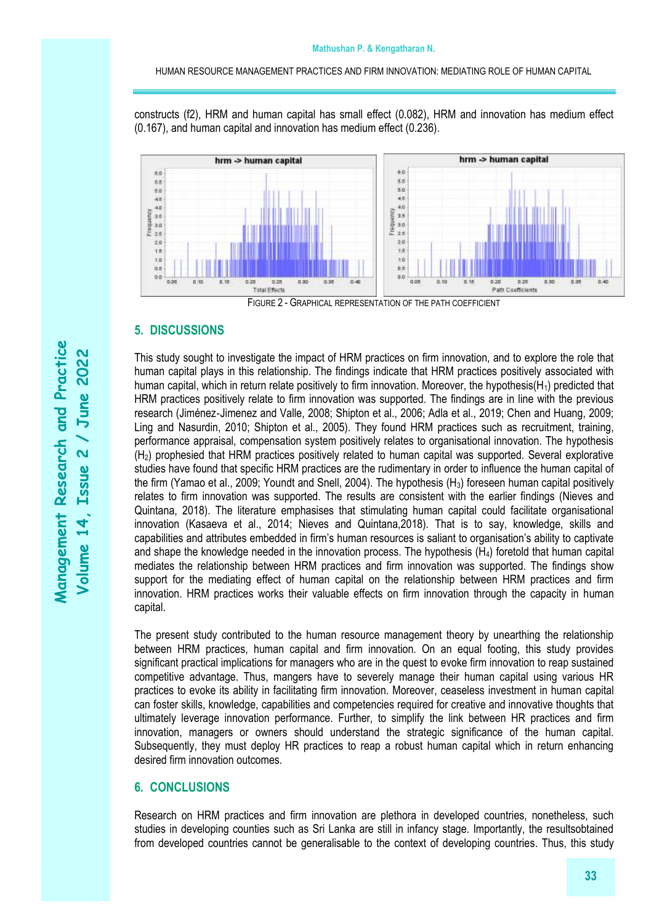constructs (f2), HRM and human capital has small effect (0.082), HRM and innovation has medium effect (0.167), and human capital and innovation has medium effect (0.236).



# **5. DISCUSSIONS**

This study sought to investigate the impact of HRM practices on firm innovation, and to explore the role that human capital plays in this relationship. The findings indicate that HRM practices positively associated with human capital, which in return relate positively to firm innovation. Moreover, the hypothesis( $H_1$ ) predicted that HRM practices positively relate to firm innovation was supported. The findings are in line with the previous research (Jiménez‐Jimenez and Valle, 2008; Shipton et al., 2006; Adla et al., 2019; Chen and Huang, 2009; Ling and Nasurdin, 2010; Shipton et al., 2005). They found HRM practices such as recruitment, training, performance appraisal, compensation system positively relates to organisational innovation. The hypothesis (H2) prophesied that HRM practices positively related to human capital was supported. Several explorative studies have found that specific HRM practices are the rudimentary in order to influence the human capital of the firm (Yamao et al., 2009; Youndt and Snell, 2004). The hypothesis (H<sub>3</sub>) foreseen human capital positively relates to firm innovation was supported. The results are consistent with the earlier findings (Nieves and Quintana, 2018). The literature emphasises that stimulating human capital could facilitate organisational innovation (Kasaeva et al., 2014; Nieves and Quintana,2018). That is to say, knowledge, skills and capabilities and attributes embedded in firm's human resources is saliant to organisation's ability to captivate and shape the knowledge needed in the innovation process. The hypothesis  $(H<sub>4</sub>)$  foretold that human capital mediates the relationship between HRM practices and firm innovation was supported. The findings show support for the mediating effect of human capital on the relationship between HRM practices and firm innovation. HRM practices works their valuable effects on firm innovation through the capacity in human capital.

The present study contributed to the human resource management theory by unearthing the relationship between HRM practices, human capital and firm innovation. On an equal footing, this study provides significant practical implications for managers who are in the quest to evoke firm innovation to reap sustained competitive advantage. Thus, mangers have to severely manage their human capital using various HR practices to evoke its ability in facilitating firm innovation. Moreover, ceaseless investment in human capital can foster skills, knowledge, capabilities and competencies required for creative and innovative thoughts that ultimately leverage innovation performance. Further, to simplify the link between HR practices and firm innovation, managers or owners should understand the strategic significance of the human capital. Subsequently, they must deploy HR practices to reap a robust human capital which in return enhancing desired firm innovation outcomes.

# **6. CONCLUSIONS**

Research on HRM practices and firm innovation are plethora in developed countries, nonetheless, such studies in developing counties such as Sri Lanka are still in infancy stage. Importantly, the resultsobtained from developed countries cannot be generalisable to the context of developing countries. Thus, this study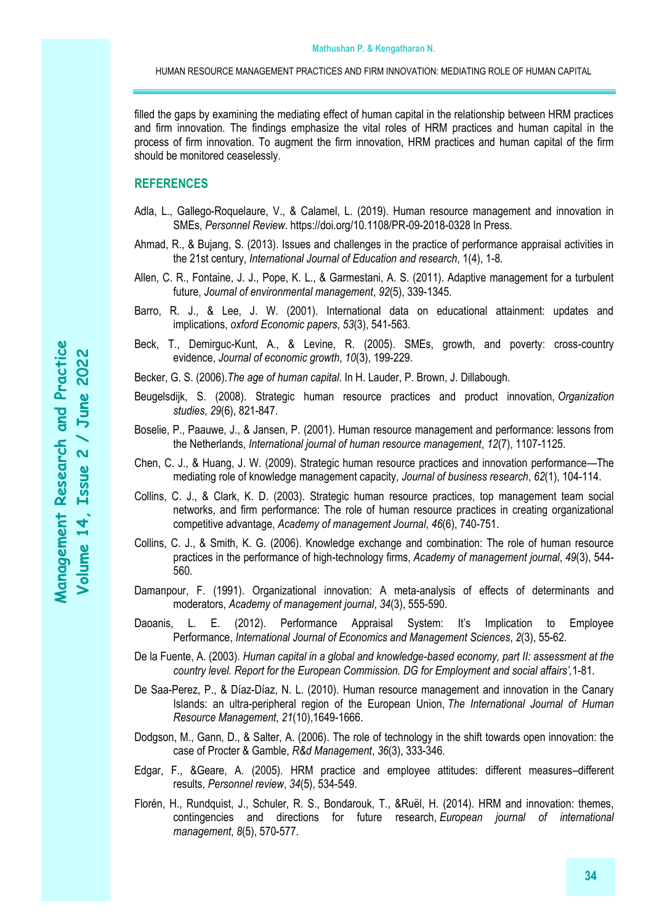filled the gaps by examining the mediating effect of human capital in the relationship between HRM practices and firm innovation. The findings emphasize the vital roles of HRM practices and human capital in the process of firm innovation. To augment the firm innovation, HRM practices and human capital of the firm should be monitored ceaselessly.

# **REFERENCES**

- Adla, L., Gallego-Roquelaure, V., & Calamel, L. (2019). Human resource management and innovation in SMEs, *Personnel Review*. https://doi.org/10.1108/PR-09-2018-0328 In Press.
- Ahmad, R., & Bujang, S. (2013). Issues and challenges in the practice of performance appraisal activities in the 21st century, *International Journal of Education and research*, 1(4), 1-8.
- Allen, C. R., Fontaine, J. J., Pope, K. L., & Garmestani, A. S. (2011). Adaptive management for a turbulent future, *Journal of environmental management*, *92*(5), 339-1345.
- Barro, R. J., & Lee, J. W. (2001). International data on educational attainment: updates and implications, *oxford Economic papers*, *53*(3), 541-563.
- Beck, T., Demirguc-Kunt, A., & Levine, R. (2005). SMEs, growth, and poverty: cross-country evidence, *Journal of economic growth*, *10*(3), 199-229.
- Becker, G. S. (2006).*The age of human capital*. In H. Lauder, P. Brown, J. Dillabough.
- Beugelsdijk, S. (2008). Strategic human resource practices and product innovation, *Organization studies*, *29*(6), 821-847.
- Boselie, P., Paauwe, J., & Jansen, P. (2001). Human resource management and performance: lessons from the Netherlands, *International journal of human resource management*, *12*(7), 1107-1125.
- Chen, C. J., & Huang, J. W. (2009). Strategic human resource practices and innovation performance—The mediating role of knowledge management capacity, *Journal of business research*, *62*(1), 104-114.
- Collins, C. J., & Clark, K. D. (2003). Strategic human resource practices, top management team social networks, and firm performance: The role of human resource practices in creating organizational competitive advantage, *Academy of management Journal*, *46*(6), 740-751.
- Collins, C. J., & Smith, K. G. (2006). Knowledge exchange and combination: The role of human resource practices in the performance of high-technology firms, *Academy of management journal*, *49*(3), 544- 560.
- Damanpour, F. (1991). Organizational innovation: A meta-analysis of effects of determinants and moderators, *Academy of management journal*, *34*(3), 555-590.
- Daoanis, L. E. (2012). Performance Appraisal System: It's Implication to Employee Performance, *International Journal of Economics and Management Sciences*, *2*(3), 55-62.
- De la Fuente, A. (2003). *Human capital in a global and knowledge-based economy, part II: assessment at the country level. Report for the European Commission. DG for Employment and social affairs',*1-81.
- De Saa-Perez, P., & Díaz-Díaz, N. L. (2010). Human resource management and innovation in the Canary Islands: an ultra-peripheral region of the European Union, *The International Journal of Human Resource Management*, *21*(10),1649-1666.
- Dodgson, M., Gann, D., & Salter, A. (2006). The role of technology in the shift towards open innovation: the case of Procter & Gamble, *R&d Management*, *36*(3), 333-346.
- Edgar, F., &Geare, A. (2005). HRM practice and employee attitudes: different measures–different results, *Personnel review*, *34*(5), 534-549.
- Florén, H., Rundquist, J., Schuler, R. S., Bondarouk, T., &Ruël, H. (2014). HRM and innovation: themes, contingencies and directions for future research, *European journal of international management*, *8*(5), 570-577.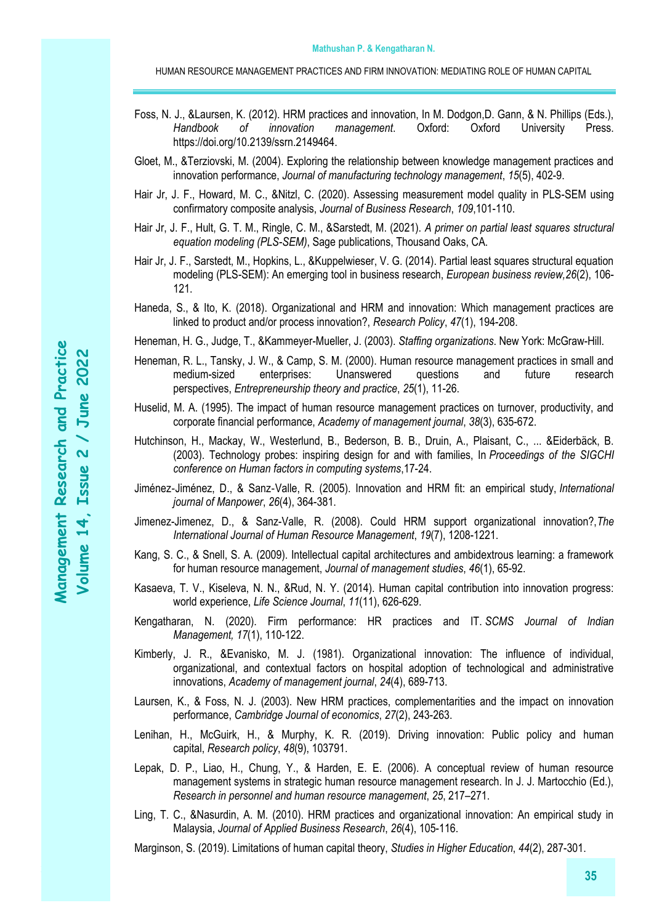- Foss, N. J., &Laursen, K. (2012). HRM practices and innovation, In M. Dodgon,D. Gann, & N. Phillips (Eds.), *Handbook of innovation management*. Oxford: Oxford University Press. [https://doi.org/10.2139/ssrn.2149464.](https://doi.org/10.2139/ssrn.2149464)
- Gloet, M., &Terziovski, M. (2004). Exploring the relationship between knowledge management practices and innovation performance, *Journal of manufacturing technology management*, *15*(5), 402-9.
- Hair Jr, J. F., Howard, M. C., &Nitzl, C. (2020). Assessing measurement model quality in PLS-SEM using confirmatory composite analysis, *Journal of Business Research*, *109*,101-110.
- Hair Jr, J. F., Hult, G. T. M., Ringle, C. M., &Sarstedt, M. (2021). *A primer on partial least squares structural equation modeling (PLS-SEM)*, Sage publications, Thousand Oaks, CA.
- Hair Jr, J. F., Sarstedt, M., Hopkins, L., &Kuppelwieser, V. G. (2014). Partial least squares structural equation modeling (PLS-SEM): An emerging tool in business research, *European business review,26*(2), 106- 121.
- Haneda, S., & Ito, K. (2018). Organizational and HRM and innovation: Which management practices are linked to product and/or process innovation?, *Research Policy*, *47*(1), 194-208.
- Heneman, H. G., Judge, T., &Kammeyer-Mueller, J. (2003). *Staffing organizations*. New York: McGraw-Hill.
- Heneman, R. L., Tansky, J. W., & Camp, S. M. (2000). Human resource management practices in small and medium-sized enterprises: Unanswered questions and future research perspectives, *Entrepreneurship theory and practice*, *25*(1), 11-26.
- Huselid, M. A. (1995). The impact of human resource management practices on turnover, productivity, and corporate financial performance, *Academy of management journal*, *38*(3), 635-672.
- Hutchinson, H., Mackay, W., Westerlund, B., Bederson, B. B., Druin, A., Plaisant, C., ... &Eiderbäck, B. (2003). Technology probes: inspiring design for and with families, In *Proceedings of the SIGCHI conference on Human factors in computing systems*,17-24.
- Jiménez‐Jiménez, D., & Sanz‐Valle, R. (2005). Innovation and HRM fit: an empirical study, *International journal of Manpower*, *26*(4), 364-381.
- Jimenez-Jimenez, D., & Sanz-Valle, R. (2008). Could HRM support organizational innovation?,*The International Journal of Human Resource Management*, *19*(7), 1208-1221.
- Kang, S. C., & Snell, S. A. (2009). Intellectual capital architectures and ambidextrous learning: a framework for human resource management, *Journal of management studies*, *46*(1), 65-92.
- Kasaeva, T. V., Kiseleva, N. N., &Rud, N. Y. (2014). Human capital contribution into innovation progress: world experience, *Life Science Journal*, *11*(11), 626-629.
- Kengatharan, N. (2020). Firm performance: HR practices and IT. *SCMS Journal of Indian Management, 17*(1), 110-122.
- Kimberly, J. R., &Evanisko, M. J. (1981). Organizational innovation: The influence of individual, organizational, and contextual factors on hospital adoption of technological and administrative innovations, *Academy of management journal*, *24*(4), 689-713.
- Laursen, K., & Foss, N. J. (2003). New HRM practices, complementarities and the impact on innovation performance, *Cambridge Journal of economics*, *27*(2), 243-263.
- Lenihan, H., McGuirk, H., & Murphy, K. R. (2019). Driving innovation: Public policy and human capital, *Research policy*, *48*(9), 103791.
- Lepak, D. P., Liao, H., Chung, Y., & Harden, E. E. (2006). A conceptual review of human resource management systems in strategic human resource management research. In J. J. Martocchio (Ed.), *Research in personnel and human resource management*, *25*, 217–271.
- Ling, T. C., &Nasurdin, A. M. (2010). HRM practices and organizational innovation: An empirical study in Malaysia, *Journal of Applied Business Research*, *26*(4), 105-116.

Marginson, S. (2019). Limitations of human capital theory, *Studies in Higher Education*, *44*(2), 287-301.